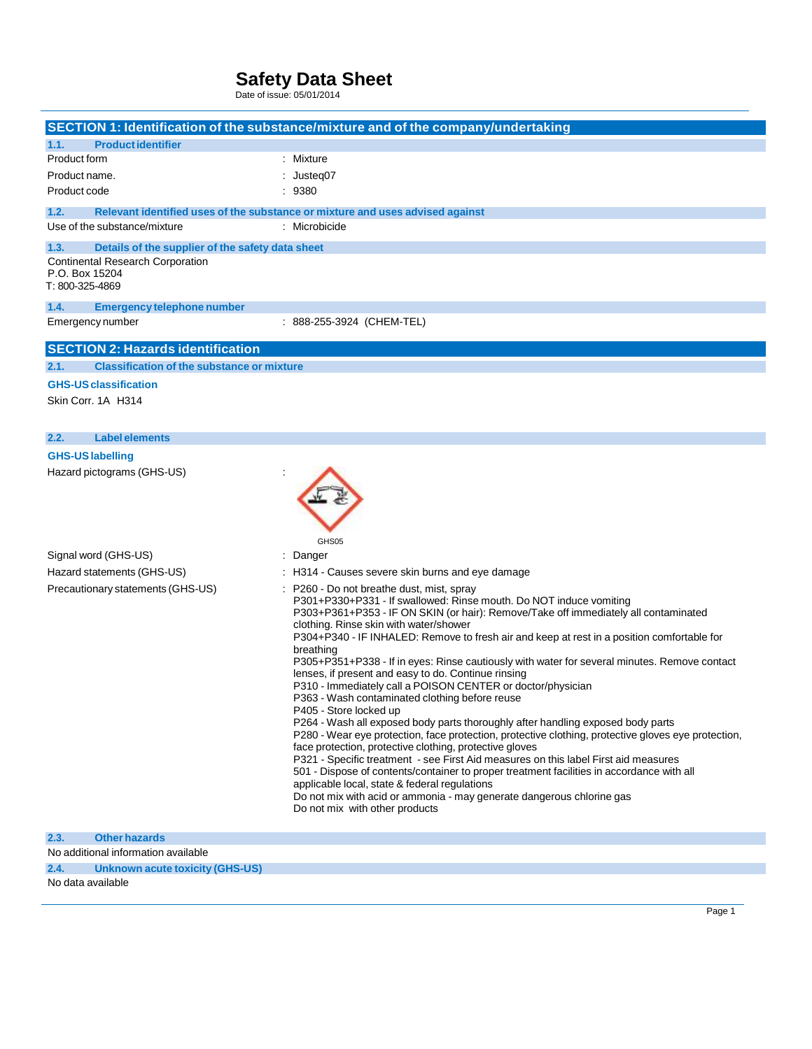Date of issue: 05/01/2014

|                                                                                                                                          | SECTION 1: Identification of the substance/mixture and of the company/undertaking                                                                                                                                                                                                                                                                                                                                                                                                                                                                                                                                                                                                                                                                                                                                                                                                                                                                                                                                                                                                                                                                                                                                                                                |
|------------------------------------------------------------------------------------------------------------------------------------------|------------------------------------------------------------------------------------------------------------------------------------------------------------------------------------------------------------------------------------------------------------------------------------------------------------------------------------------------------------------------------------------------------------------------------------------------------------------------------------------------------------------------------------------------------------------------------------------------------------------------------------------------------------------------------------------------------------------------------------------------------------------------------------------------------------------------------------------------------------------------------------------------------------------------------------------------------------------------------------------------------------------------------------------------------------------------------------------------------------------------------------------------------------------------------------------------------------------------------------------------------------------|
| 1.1.<br><b>Product identifier</b>                                                                                                        |                                                                                                                                                                                                                                                                                                                                                                                                                                                                                                                                                                                                                                                                                                                                                                                                                                                                                                                                                                                                                                                                                                                                                                                                                                                                  |
| Product form                                                                                                                             | : Mixture                                                                                                                                                                                                                                                                                                                                                                                                                                                                                                                                                                                                                                                                                                                                                                                                                                                                                                                                                                                                                                                                                                                                                                                                                                                        |
| Product name.                                                                                                                            | : Justeq07                                                                                                                                                                                                                                                                                                                                                                                                                                                                                                                                                                                                                                                                                                                                                                                                                                                                                                                                                                                                                                                                                                                                                                                                                                                       |
| Product code                                                                                                                             | : 9380                                                                                                                                                                                                                                                                                                                                                                                                                                                                                                                                                                                                                                                                                                                                                                                                                                                                                                                                                                                                                                                                                                                                                                                                                                                           |
| 1.2.<br>Use of the substance/mixture                                                                                                     | Relevant identified uses of the substance or mixture and uses advised against<br>: Microbicide                                                                                                                                                                                                                                                                                                                                                                                                                                                                                                                                                                                                                                                                                                                                                                                                                                                                                                                                                                                                                                                                                                                                                                   |
|                                                                                                                                          |                                                                                                                                                                                                                                                                                                                                                                                                                                                                                                                                                                                                                                                                                                                                                                                                                                                                                                                                                                                                                                                                                                                                                                                                                                                                  |
| 1.3.<br>Details of the supplier of the safety data sheet<br><b>Continental Research Corporation</b><br>P.O. Box 15204<br>T: 800-325-4869 |                                                                                                                                                                                                                                                                                                                                                                                                                                                                                                                                                                                                                                                                                                                                                                                                                                                                                                                                                                                                                                                                                                                                                                                                                                                                  |
| 1.4.<br><b>Emergency telephone number</b>                                                                                                |                                                                                                                                                                                                                                                                                                                                                                                                                                                                                                                                                                                                                                                                                                                                                                                                                                                                                                                                                                                                                                                                                                                                                                                                                                                                  |
| Emergency number                                                                                                                         | : 888-255-3924 (CHEM-TEL)                                                                                                                                                                                                                                                                                                                                                                                                                                                                                                                                                                                                                                                                                                                                                                                                                                                                                                                                                                                                                                                                                                                                                                                                                                        |
| <b>SECTION 2: Hazards identification</b>                                                                                                 |                                                                                                                                                                                                                                                                                                                                                                                                                                                                                                                                                                                                                                                                                                                                                                                                                                                                                                                                                                                                                                                                                                                                                                                                                                                                  |
| <b>Classification of the substance or mixture</b><br>2.1.                                                                                |                                                                                                                                                                                                                                                                                                                                                                                                                                                                                                                                                                                                                                                                                                                                                                                                                                                                                                                                                                                                                                                                                                                                                                                                                                                                  |
| <b>GHS-US classification</b>                                                                                                             |                                                                                                                                                                                                                                                                                                                                                                                                                                                                                                                                                                                                                                                                                                                                                                                                                                                                                                                                                                                                                                                                                                                                                                                                                                                                  |
| Skin Corr. 1A H314                                                                                                                       |                                                                                                                                                                                                                                                                                                                                                                                                                                                                                                                                                                                                                                                                                                                                                                                                                                                                                                                                                                                                                                                                                                                                                                                                                                                                  |
| <b>Label elements</b><br>2.2.                                                                                                            |                                                                                                                                                                                                                                                                                                                                                                                                                                                                                                                                                                                                                                                                                                                                                                                                                                                                                                                                                                                                                                                                                                                                                                                                                                                                  |
| <b>GHS-US labelling</b>                                                                                                                  |                                                                                                                                                                                                                                                                                                                                                                                                                                                                                                                                                                                                                                                                                                                                                                                                                                                                                                                                                                                                                                                                                                                                                                                                                                                                  |
| Hazard pictograms (GHS-US)                                                                                                               | GHS05                                                                                                                                                                                                                                                                                                                                                                                                                                                                                                                                                                                                                                                                                                                                                                                                                                                                                                                                                                                                                                                                                                                                                                                                                                                            |
| Signal word (GHS-US)                                                                                                                     | : Danger                                                                                                                                                                                                                                                                                                                                                                                                                                                                                                                                                                                                                                                                                                                                                                                                                                                                                                                                                                                                                                                                                                                                                                                                                                                         |
| Hazard statements (GHS-US)                                                                                                               | : H314 - Causes severe skin burns and eye damage                                                                                                                                                                                                                                                                                                                                                                                                                                                                                                                                                                                                                                                                                                                                                                                                                                                                                                                                                                                                                                                                                                                                                                                                                 |
| Precautionary statements (GHS-US)                                                                                                        | P260 - Do not breathe dust, mist, spray<br>P301+P330+P331 - If swallowed: Rinse mouth. Do NOT induce vomiting<br>P303+P361+P353 - IF ON SKIN (or hair): Remove/Take off immediately all contaminated<br>clothing. Rinse skin with water/shower<br>P304+P340 - IF INHALED: Remove to fresh air and keep at rest in a position comfortable for<br>breathing<br>P305+P351+P338 - If in eyes: Rinse cautiously with water for several minutes. Remove contact<br>lenses, if present and easy to do. Continue rinsing<br>P310 - Immediately call a POISON CENTER or doctor/physician<br>P363 - Wash contaminated clothing before reuse<br>P405 - Store locked up<br>P264 - Wash all exposed body parts thoroughly after handling exposed body parts<br>P280 - Wear eye protection, face protection, protective clothing, protective gloves eye protection,<br>face protection, protective clothing, protective gloves<br>P321 - Specific treatment - see First Aid measures on this label First aid measures<br>501 - Dispose of contents/container to proper treatment facilities in accordance with all<br>applicable local, state & federal regulations<br>Do not mix with acid or ammonia - may generate dangerous chlorine gas<br>Do not mix with other products |
| 2.3.<br><b>Other hazards</b>                                                                                                             |                                                                                                                                                                                                                                                                                                                                                                                                                                                                                                                                                                                                                                                                                                                                                                                                                                                                                                                                                                                                                                                                                                                                                                                                                                                                  |
| No additional information available                                                                                                      |                                                                                                                                                                                                                                                                                                                                                                                                                                                                                                                                                                                                                                                                                                                                                                                                                                                                                                                                                                                                                                                                                                                                                                                                                                                                  |

**2.4. Unknown acute toxicity (GHS-US)**

No data available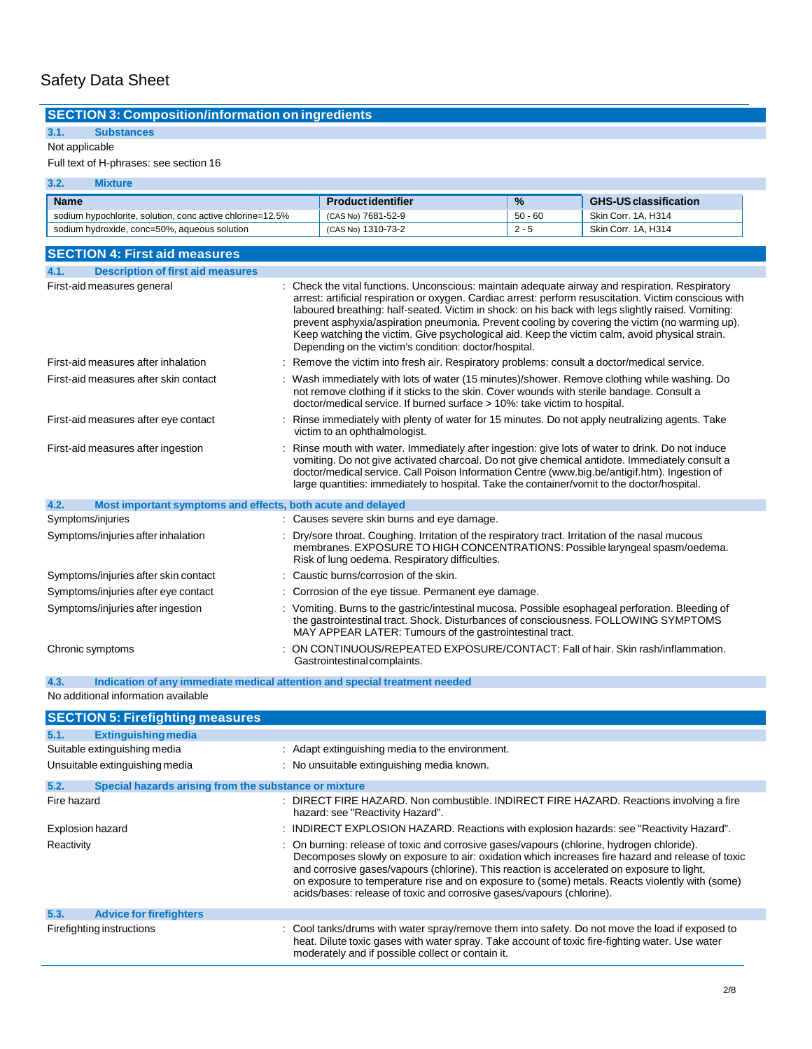## **SECTION 3: Composition/information on ingredients**

## **3.1. Substances**

### Not applicable

### Full text of H-phrases: see section 16

| 3.2.        | Mixture                                                   |                           |               |                              |
|-------------|-----------------------------------------------------------|---------------------------|---------------|------------------------------|
| <b>Name</b> |                                                           | <b>Product identifier</b> | $\frac{9}{6}$ | <b>GHS-US classification</b> |
|             | sodium hypochlorite, solution, conc active chlorine=12.5% | (CAS No) 7681-52-9        | $50 - 60$     | Skin Corr. 1A. H314          |
|             | sodium hydroxide, conc=50%, aqueous solution              | (CAS No) 1310-73-2        | $2 - 5$       | Skin Corr. 1A. H314          |

| <b>SECTION 4: First aid measures</b>                                |                                                                                                                                                                                                                                                                                                                                                                                                                                                                                                                                                                              |  |  |  |
|---------------------------------------------------------------------|------------------------------------------------------------------------------------------------------------------------------------------------------------------------------------------------------------------------------------------------------------------------------------------------------------------------------------------------------------------------------------------------------------------------------------------------------------------------------------------------------------------------------------------------------------------------------|--|--|--|
| 4.1.<br><b>Description of first aid measures</b>                    |                                                                                                                                                                                                                                                                                                                                                                                                                                                                                                                                                                              |  |  |  |
| First-aid measures general                                          | : Check the vital functions. Unconscious: maintain adequate airway and respiration. Respiratory<br>arrest: artificial respiration or oxygen. Cardiac arrest: perform resuscitation. Victim conscious with<br>laboured breathing: half-seated. Victim in shock: on his back with legs slightly raised. Vomiting:<br>prevent asphyxia/aspiration pneumonia. Prevent cooling by covering the victim (no warming up).<br>Keep watching the victim. Give psychological aid. Keep the victim calm, avoid physical strain.<br>Depending on the victim's condition: doctor/hospital. |  |  |  |
| First-aid measures after inhalation                                 | : Remove the victim into fresh air. Respiratory problems: consult a doctor/medical service.                                                                                                                                                                                                                                                                                                                                                                                                                                                                                  |  |  |  |
| First-aid measures after skin contact                               | : Wash immediately with lots of water (15 minutes)/shower. Remove clothing while washing. Do<br>not remove clothing if it sticks to the skin. Cover wounds with sterile bandage. Consult a<br>doctor/medical service. If burned surface > 10%: take victim to hospital.                                                                                                                                                                                                                                                                                                      |  |  |  |
| First-aid measures after eye contact                                | : Rinse immediately with plenty of water for 15 minutes. Do not apply neutralizing agents. Take<br>victim to an ophthalmologist.                                                                                                                                                                                                                                                                                                                                                                                                                                             |  |  |  |
| First-aid measures after ingestion                                  | Rinse mouth with water. Immediately after ingestion: give lots of water to drink. Do not induce<br>vomiting. Do not give activated charcoal. Do not give chemical antidote. Immediately consult a<br>doctor/medical service. Call Poison Information Centre (www.big.be/antigif.htm). Ingestion of<br>large quantities: immediately to hospital. Take the container/vomit to the doctor/hospital.                                                                                                                                                                            |  |  |  |
| 4.2.<br>Most important symptoms and effects, both acute and delayed |                                                                                                                                                                                                                                                                                                                                                                                                                                                                                                                                                                              |  |  |  |
| Symptoms/injuries                                                   | : Causes severe skin burns and eye damage.                                                                                                                                                                                                                                                                                                                                                                                                                                                                                                                                   |  |  |  |
| Symptoms/injuries after inhalation                                  | Dry/sore throat. Coughing. Irritation of the respiratory tract. Irritation of the nasal mucous<br>membranes. EXPOSURE TO HIGH CONCENTRATIONS: Possible laryngeal spasm/oedema.<br>Risk of lung oedema. Respiratory difficulties.                                                                                                                                                                                                                                                                                                                                             |  |  |  |
| Symptoms/injuries after skin contact                                | : Caustic burns/corrosion of the skin.                                                                                                                                                                                                                                                                                                                                                                                                                                                                                                                                       |  |  |  |
| Symptoms/injuries after eye contact                                 | : Corrosion of the eye tissue. Permanent eye damage.                                                                                                                                                                                                                                                                                                                                                                                                                                                                                                                         |  |  |  |
| Symptoms/injuries after ingestion                                   | : Vomiting. Burns to the gastric/intestinal mucosa. Possible esophageal perforation. Bleeding of<br>the gastrointestinal tract. Shock. Disturbances of consciousness. FOLLOWING SYMPTOMS<br>MAY APPEAR LATER: Tumours of the gastrointestinal tract.                                                                                                                                                                                                                                                                                                                         |  |  |  |
| Chronic symptoms                                                    | ON CONTINUOUS/REPEATED EXPOSURE/CONTACT: Fall of hair, Skin rash/inflammation.<br>Gastrointestinal complaints.                                                                                                                                                                                                                                                                                                                                                                                                                                                               |  |  |  |

No additional information available **4.3. Indication of any immediate medical attention and special treatment needed**

| <b>SECTION 5: Firefighting measures</b>                       |                                                                                                                                                                                                                                                                                                                                                                                                                                                                        |  |  |
|---------------------------------------------------------------|------------------------------------------------------------------------------------------------------------------------------------------------------------------------------------------------------------------------------------------------------------------------------------------------------------------------------------------------------------------------------------------------------------------------------------------------------------------------|--|--|
| 5.1.<br><b>Extinguishing media</b>                            |                                                                                                                                                                                                                                                                                                                                                                                                                                                                        |  |  |
| Suitable extinguishing media                                  | : Adapt extinguishing media to the environment.                                                                                                                                                                                                                                                                                                                                                                                                                        |  |  |
| Unsuitable extinguishing media                                | : No unsuitable extinguishing media known.                                                                                                                                                                                                                                                                                                                                                                                                                             |  |  |
| 5.2.<br>Special hazards arising from the substance or mixture |                                                                                                                                                                                                                                                                                                                                                                                                                                                                        |  |  |
| Fire hazard                                                   | : DIRECT FIRE HAZARD. Non combustible. INDIRECT FIRE HAZARD. Reactions involving a fire<br>hazard: see "Reactivity Hazard".                                                                                                                                                                                                                                                                                                                                            |  |  |
| Explosion hazard                                              | : INDIRECT EXPLOSION HAZARD. Reactions with explosion hazards: see "Reactivity Hazard".                                                                                                                                                                                                                                                                                                                                                                                |  |  |
| Reactivity                                                    | : On burning: release of toxic and corrosive gases/vapours (chlorine, hydrogen chloride).<br>Decomposes slowly on exposure to air: oxidation which increases fire hazard and release of toxic<br>and corrosive gases/vapours (chlorine). This reaction is accelerated on exposure to light,<br>on exposure to temperature rise and on exposure to (some) metals. Reacts violently with (some)<br>acids/bases: release of toxic and corrosive gases/vapours (chlorine). |  |  |
| 5.3.<br><b>Advice for firefighters</b>                        |                                                                                                                                                                                                                                                                                                                                                                                                                                                                        |  |  |
| Firefighting instructions                                     | : Cool tanks/drums with water spray/remove them into safety. Do not move the load if exposed to<br>heat. Dilute toxic gases with water spray. Take account of toxic fire-fighting water. Use water<br>moderately and if possible collect or contain it.                                                                                                                                                                                                                |  |  |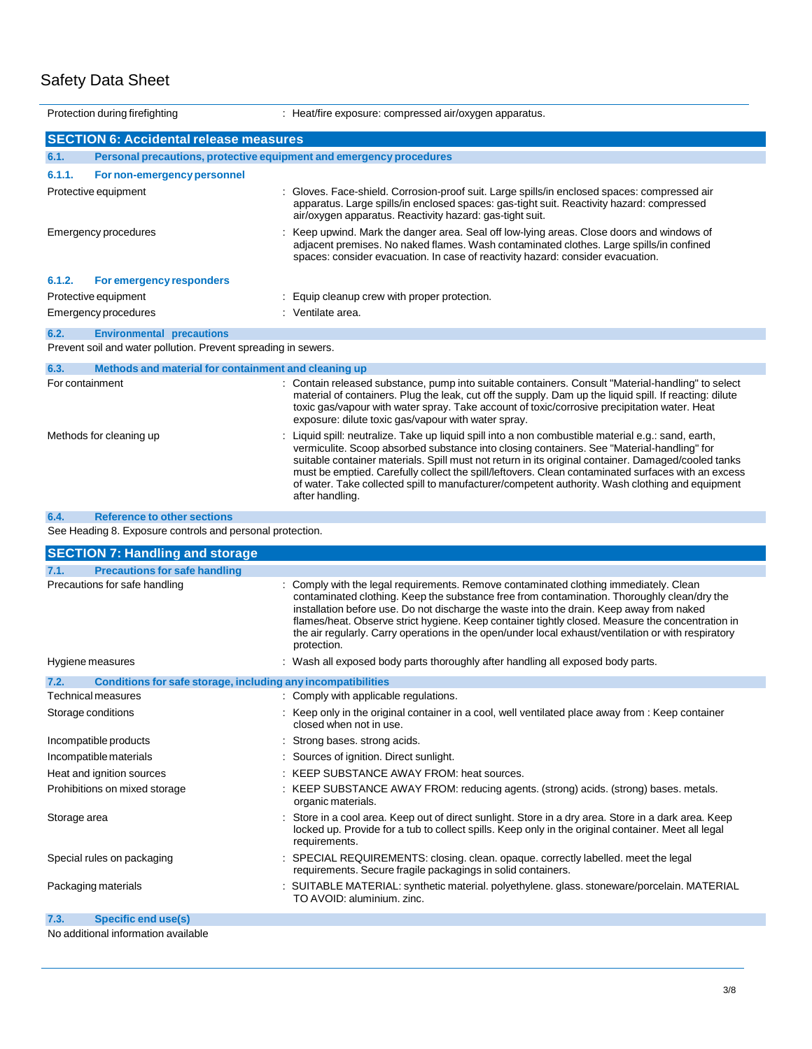|                         | Protection during firefighting                                                                     | : Heat/fire exposure: compressed air/oxygen apparatus.                                                                                                                                                                                                                                                                                                                                                                                                                                                                             |
|-------------------------|----------------------------------------------------------------------------------------------------|------------------------------------------------------------------------------------------------------------------------------------------------------------------------------------------------------------------------------------------------------------------------------------------------------------------------------------------------------------------------------------------------------------------------------------------------------------------------------------------------------------------------------------|
|                         | <b>SECTION 6: Accidental release measures</b>                                                      |                                                                                                                                                                                                                                                                                                                                                                                                                                                                                                                                    |
| 6.1.                    |                                                                                                    | Personal precautions, protective equipment and emergency procedures                                                                                                                                                                                                                                                                                                                                                                                                                                                                |
| 6.1.1.                  | For non-emergency personnel                                                                        |                                                                                                                                                                                                                                                                                                                                                                                                                                                                                                                                    |
|                         | Protective equipment                                                                               | : Gloves. Face-shield. Corrosion-proof suit. Large spills/in enclosed spaces: compressed air<br>apparatus. Large spills/in enclosed spaces: gas-tight suit. Reactivity hazard: compressed<br>air/oxygen apparatus. Reactivity hazard: gas-tight suit.                                                                                                                                                                                                                                                                              |
|                         | Emergency procedures                                                                               | : Keep upwind. Mark the danger area. Seal off low-lying areas. Close doors and windows of<br>adjacent premises. No naked flames. Wash contaminated clothes. Large spills/in confined<br>spaces: consider evacuation. In case of reactivity hazard: consider evacuation.                                                                                                                                                                                                                                                            |
| 6.1.2.                  | For emergency responders                                                                           |                                                                                                                                                                                                                                                                                                                                                                                                                                                                                                                                    |
|                         | Protective equipment                                                                               | : Equip cleanup crew with proper protection.                                                                                                                                                                                                                                                                                                                                                                                                                                                                                       |
|                         | Emergency procedures                                                                               | : Ventilate area.                                                                                                                                                                                                                                                                                                                                                                                                                                                                                                                  |
| 6.2.                    | <b>Environmental precautions</b><br>Prevent soil and water pollution. Prevent spreading in sewers. |                                                                                                                                                                                                                                                                                                                                                                                                                                                                                                                                    |
| 6.3.                    | Methods and material for containment and cleaning up                                               |                                                                                                                                                                                                                                                                                                                                                                                                                                                                                                                                    |
|                         | For containment                                                                                    | : Contain released substance, pump into suitable containers. Consult "Material-handling" to select<br>material of containers. Plug the leak, cut off the supply. Dam up the liquid spill. If reacting: dilute<br>toxic gas/vapour with water spray. Take account of toxic/corrosive precipitation water. Heat<br>exposure: dilute toxic gas/vapour with water spray.                                                                                                                                                               |
| Methods for cleaning up |                                                                                                    | Liquid spill: neutralize. Take up liquid spill into a non combustible material e.g.: sand, earth,<br>vermiculite. Scoop absorbed substance into closing containers. See "Material-handling" for<br>suitable container materials. Spill must not return in its original container. Damaged/cooled tanks<br>must be emptied. Carefully collect the spill/leftovers. Clean contaminated surfaces with an excess<br>of water. Take collected spill to manufacturer/competent authority. Wash clothing and equipment<br>after handling. |
| 6.4.                    | <b>Reference to other sections</b>                                                                 |                                                                                                                                                                                                                                                                                                                                                                                                                                                                                                                                    |
|                         | See Heading 8. Exposure controls and personal protection.                                          |                                                                                                                                                                                                                                                                                                                                                                                                                                                                                                                                    |
|                         | <b>SECTION 7: Handling and storage</b>                                                             |                                                                                                                                                                                                                                                                                                                                                                                                                                                                                                                                    |
| 7.1.                    | <b>Precautions for safe handling</b>                                                               |                                                                                                                                                                                                                                                                                                                                                                                                                                                                                                                                    |
|                         | Precautions for safe handling                                                                      | : Comply with the legal requirements. Remove contaminated clothing immediately. Clean<br>contaminated clothing. Keep the substance free from contamination. Thoroughly clean/dry the<br>installation before use. Do not discharge the waste into the drain. Keep away from naked<br>flames/heat. Observe strict hygiene. Keep container tightly closed. Measure the concentration in<br>the air regularly. Carry operations in the open/under local exhaust/ventilation or with respiratory<br>protection.                         |
|                         | Hygiene measures                                                                                   | : Wash all exposed body parts thoroughly after handling all exposed body parts.                                                                                                                                                                                                                                                                                                                                                                                                                                                    |
| 7.2.                    | Conditions for safe storage, including any incompatibilities                                       |                                                                                                                                                                                                                                                                                                                                                                                                                                                                                                                                    |
|                         | <b>Technical measures</b>                                                                          | : Comply with applicable regulations.                                                                                                                                                                                                                                                                                                                                                                                                                                                                                              |
|                         | Storage conditions                                                                                 | : Keep only in the original container in a cool, well ventilated place away from : Keep container<br>closed when not in use.                                                                                                                                                                                                                                                                                                                                                                                                       |
|                         | Incompatible products                                                                              | : Strong bases, strong acids.                                                                                                                                                                                                                                                                                                                                                                                                                                                                                                      |
|                         | Incompatible materials                                                                             | : Sources of ignition. Direct sunlight.                                                                                                                                                                                                                                                                                                                                                                                                                                                                                            |
|                         | Heat and ignition sources                                                                          | : KEEP SUBSTANCE AWAY FROM: heat sources.                                                                                                                                                                                                                                                                                                                                                                                                                                                                                          |
|                         | Prohibitions on mixed storage                                                                      | : KEEP SUBSTANCE AWAY FROM: reducing agents. (strong) acids. (strong) bases. metals.<br>organic materials.                                                                                                                                                                                                                                                                                                                                                                                                                         |
| Storage area            |                                                                                                    | Store in a cool area. Keep out of direct sunlight. Store in a dry area. Store in a dark area. Keep<br>locked up. Provide for a tub to collect spills. Keep only in the original container. Meet all legal<br>requirements.                                                                                                                                                                                                                                                                                                         |
|                         | Special rules on packaging                                                                         | : SPECIAL REQUIREMENTS: closing. clean. opaque. correctly labelled. meet the legal                                                                                                                                                                                                                                                                                                                                                                                                                                                 |

requirements. Secure fragile packagings in solid containers.

TO AVOID: aluminium. zinc.

Packaging materials : SUITABLE MATERIAL: synthetic material. polyethylene. glass. stoneware/porcelain. MATERIAL

| 7.3. | <b>Specific end use(s)</b> |  |
|------|----------------------------|--|
|------|----------------------------|--|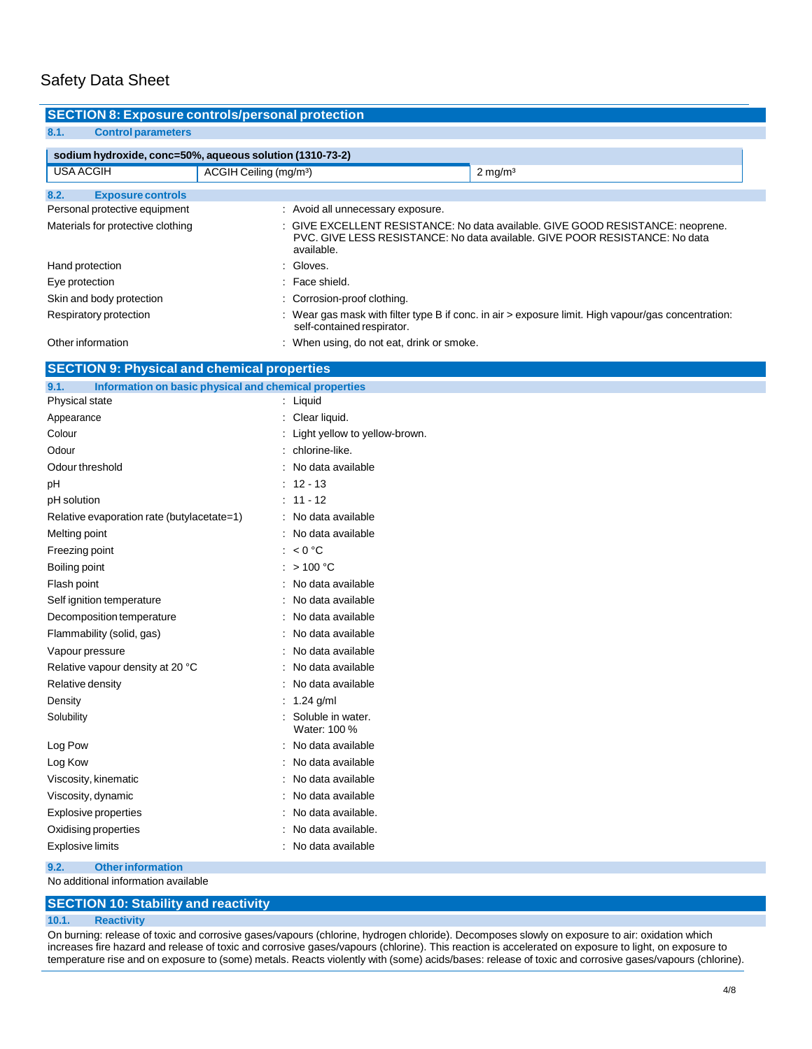| <b>SECTION 8: Exposure controls/personal protection</b> |                                                          |                                                                                                                                                                |
|---------------------------------------------------------|----------------------------------------------------------|----------------------------------------------------------------------------------------------------------------------------------------------------------------|
| <b>Control parameters</b><br>8.1.                       |                                                          |                                                                                                                                                                |
|                                                         |                                                          |                                                                                                                                                                |
|                                                         | sodium hydroxide, conc=50%, aqueous solution (1310-73-2) |                                                                                                                                                                |
| <b>USA ACGIH</b>                                        | ACGIH Ceiling (mg/m <sup>3</sup> )                       | $2 \text{ mg/m}^3$                                                                                                                                             |
|                                                         |                                                          |                                                                                                                                                                |
| 8.2.<br><b>Exposure controls</b>                        |                                                          |                                                                                                                                                                |
| Personal protective equipment                           | : Avoid all unnecessary exposure.                        |                                                                                                                                                                |
| Materials for protective clothing                       | available.                                               | : GIVE EXCELLENT RESISTANCE: No data available. GIVE GOOD RESISTANCE: neoprene.<br>PVC, GIVE LESS RESISTANCE: No data available, GIVE POOR RESISTANCE: No data |
| Hand protection                                         | : Gloves.                                                |                                                                                                                                                                |
| Eye protection                                          | : Face shield.                                           |                                                                                                                                                                |
| Skin and body protection                                | : Corrosion-proof clothing.                              |                                                                                                                                                                |
| Respiratory protection                                  | self-contained respirator.                               | : Wear gas mask with filter type B if conc. in air > exposure limit. High vapour/gas concentration:                                                            |
| Other information                                       | : When using, do not eat, drink or smoke.                |                                                                                                                                                                |
| <b>SECTION 9: Physical and chemical properties</b>      |                                                          |                                                                                                                                                                |

| 9.1.<br>Information on basic physical and chemical properties |                                   |
|---------------------------------------------------------------|-----------------------------------|
| Physical state                                                | Liquid                            |
| Appearance                                                    | Clear liquid.                     |
| Colour                                                        | Light yellow to yellow-brown.     |
| Odour                                                         | chlorine-like.                    |
| Odour threshold                                               | No data available                 |
| рH                                                            | $12 - 13$                         |
| pH solution                                                   | $11 - 12$                         |
| Relative evaporation rate (butylacetate=1)                    | No data available                 |
| Melting point                                                 | No data available                 |
| Freezing point                                                | < 0 °C                            |
| Boiling point                                                 | >100 °C                           |
| Flash point                                                   | No data available                 |
| Self ignition temperature                                     | No data available                 |
| Decomposition temperature                                     | No data available                 |
| Flammability (solid, gas)                                     | No data available                 |
| Vapour pressure                                               | No data available                 |
| Relative vapour density at 20 °C                              | No data available                 |
| Relative density                                              | No data available                 |
| Density                                                       | $1.24$ g/ml                       |
| Solubility                                                    | Soluble in water.<br>Water: 100 % |
| Log Pow                                                       | No data available                 |
| Log Kow                                                       | No data available                 |
| Viscosity, kinematic                                          | No data available                 |
| Viscosity, dynamic                                            | No data available                 |
| <b>Explosive properties</b>                                   | No data available.                |
| Oxidising properties                                          | No data available.                |
| <b>Explosive limits</b>                                       | No data available                 |

**9.2. Otherinformation**

No additional information available

### **SECTION 10: Stability and reactivity**

#### **10.1. Reactivity**

On burning: release of toxic and corrosive gases/vapours (chlorine, hydrogen chloride). Decomposes slowly on exposure to air: oxidation which increases fire hazard and release of toxic and corrosive gases/vapours (chlorine). This reaction is accelerated on exposure to light, on exposure to temperature rise and on exposure to (some) metals. Reacts violently with (some) acids/bases: release of toxic and corrosive gases/vapours (chlorine).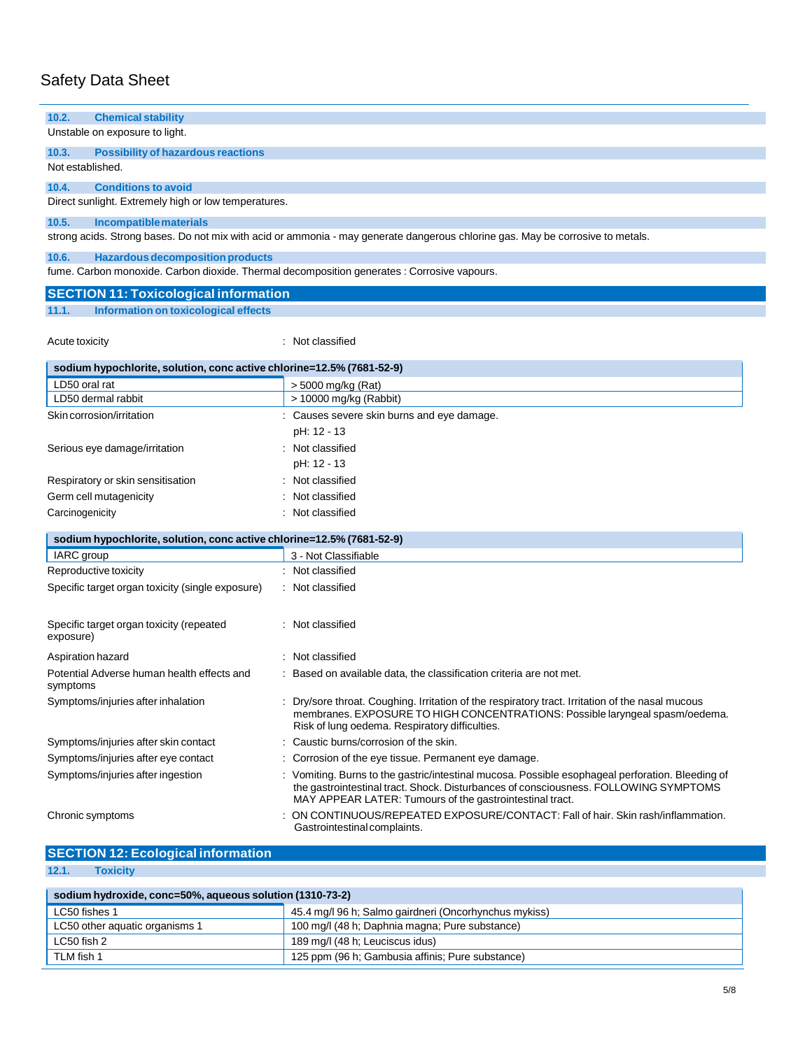| <b>Chemical stability</b><br>10.2.                                                          |                                                                                                                                                                                                                                                      |  |
|---------------------------------------------------------------------------------------------|------------------------------------------------------------------------------------------------------------------------------------------------------------------------------------------------------------------------------------------------------|--|
| Unstable on exposure to light.                                                              |                                                                                                                                                                                                                                                      |  |
| 10.3.<br><b>Possibility of hazardous reactions</b>                                          |                                                                                                                                                                                                                                                      |  |
| Not established.                                                                            |                                                                                                                                                                                                                                                      |  |
| 10.4.<br><b>Conditions to avoid</b>                                                         |                                                                                                                                                                                                                                                      |  |
| Direct sunlight. Extremely high or low temperatures.                                        |                                                                                                                                                                                                                                                      |  |
| 10.5.<br><b>Incompatible materials</b>                                                      |                                                                                                                                                                                                                                                      |  |
|                                                                                             | strong acids. Strong bases. Do not mix with acid or ammonia - may generate dangerous chlorine gas. May be corrosive to metals.                                                                                                                       |  |
| 10.6.<br><b>Hazardous decomposition products</b>                                            |                                                                                                                                                                                                                                                      |  |
| fume. Carbon monoxide. Carbon dioxide. Thermal decomposition generates : Corrosive vapours. |                                                                                                                                                                                                                                                      |  |
| <b>SECTION 11: Toxicological information</b>                                                |                                                                                                                                                                                                                                                      |  |
| Information on toxicological effects<br>11.1.                                               |                                                                                                                                                                                                                                                      |  |
| Acute toxicity                                                                              | : Not classified                                                                                                                                                                                                                                     |  |
|                                                                                             |                                                                                                                                                                                                                                                      |  |
| sodium hypochlorite, solution, conc active chlorine=12.5% (7681-52-9)                       |                                                                                                                                                                                                                                                      |  |
| LD50 oral rat                                                                               | > 5000 mg/kg (Rat)                                                                                                                                                                                                                                   |  |
| LD50 dermal rabbit                                                                          | > 10000 mg/kg (Rabbit)                                                                                                                                                                                                                               |  |
| Skin corrosion/irritation                                                                   | : Causes severe skin burns and eye damage.                                                                                                                                                                                                           |  |
|                                                                                             | pH: 12 - 13                                                                                                                                                                                                                                          |  |
| Serious eye damage/irritation                                                               | : Not classified                                                                                                                                                                                                                                     |  |
|                                                                                             | pH: 12 - 13                                                                                                                                                                                                                                          |  |
| Respiratory or skin sensitisation                                                           | : Not classified                                                                                                                                                                                                                                     |  |
| Germ cell mutagenicity                                                                      | Not classified                                                                                                                                                                                                                                       |  |
| Carcinogenicity                                                                             | : Not classified                                                                                                                                                                                                                                     |  |
| sodium hypochlorite, solution, conc active chlorine=12.5% (7681-52-9)                       |                                                                                                                                                                                                                                                      |  |
| IARC group                                                                                  | 3 - Not Classifiable                                                                                                                                                                                                                                 |  |
| Reproductive toxicity                                                                       | : Not classified                                                                                                                                                                                                                                     |  |
| Specific target organ toxicity (single exposure)                                            | : Not classified                                                                                                                                                                                                                                     |  |
|                                                                                             |                                                                                                                                                                                                                                                      |  |
| Specific target organ toxicity (repeated<br>exposure)                                       | : Not classified                                                                                                                                                                                                                                     |  |
| Aspiration hazard                                                                           | : Not classified                                                                                                                                                                                                                                     |  |
| Potential Adverse human health effects and<br>symptoms                                      | : Based on available data, the classification criteria are not met.                                                                                                                                                                                  |  |
| Symptoms/injuries after inhalation                                                          | : Dry/sore throat. Coughing. Irritation of the respiratory tract. Irritation of the nasal mucous<br>membranes. EXPOSURE TO HIGH CONCENTRATIONS: Possible laryngeal spasm/oedema.<br>Risk of lung oedema. Respiratory difficulties.                   |  |
| Symptoms/injuries after skin contact                                                        | : Caustic burns/corrosion of the skin.                                                                                                                                                                                                               |  |
| Symptoms/injuries after eye contact                                                         | : Corrosion of the eye tissue. Permanent eye damage.                                                                                                                                                                                                 |  |
| Symptoms/injuries after ingestion                                                           | : Vomiting. Burns to the gastric/intestinal mucosa. Possible esophageal perforation. Bleeding of<br>the gastrointestinal tract. Shock. Disturbances of consciousness. FOLLOWING SYMPTOMS<br>MAY APPEAR LATER: Tumours of the gastrointestinal tract. |  |
| Chronic symptoms                                                                            | : ON CONTINUOUS/REPEATED EXPOSURE/CONTACT: Fall of hair. Skin rash/inflammation.<br>Gastrointestinal complaints.                                                                                                                                     |  |
| <b>SECTION 12: Ecological information</b>                                                   |                                                                                                                                                                                                                                                      |  |
|                                                                                             |                                                                                                                                                                                                                                                      |  |

**12.1. Toxicity**

| sodium hydroxide, conc=50%, aqueous solution (1310-73-2)       |                                                       |  |
|----------------------------------------------------------------|-------------------------------------------------------|--|
| LC50 fishes 1                                                  | 45.4 mg/l 96 h; Salmo gairdneri (Oncorhynchus mykiss) |  |
| LC50 other aquatic organisms 1                                 | 100 mg/l (48 h; Daphnia magna; Pure substance)        |  |
| LC50 fish 2                                                    | 189 mg/l (48 h; Leuciscus idus)                       |  |
| TLM fish 1<br>125 ppm (96 h; Gambusia affinis; Pure substance) |                                                       |  |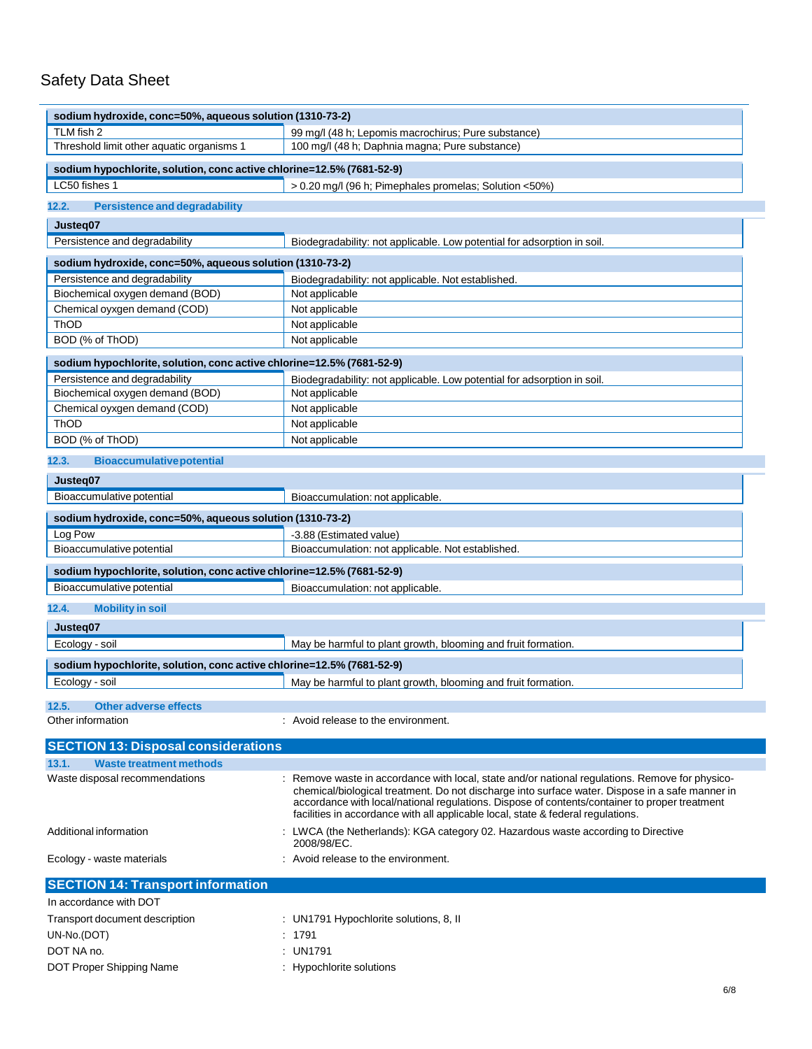| sodium hydroxide, conc=50%, aqueous solution (1310-73-2)              |                                                                                                                                                                                                                                                                                                                                                                                         |
|-----------------------------------------------------------------------|-----------------------------------------------------------------------------------------------------------------------------------------------------------------------------------------------------------------------------------------------------------------------------------------------------------------------------------------------------------------------------------------|
| TLM fish 2                                                            | 99 mg/l (48 h; Lepomis macrochirus; Pure substance)                                                                                                                                                                                                                                                                                                                                     |
| Threshold limit other aquatic organisms 1                             | 100 mg/l (48 h; Daphnia magna; Pure substance)                                                                                                                                                                                                                                                                                                                                          |
| sodium hypochlorite, solution, conc active chlorine=12.5% (7681-52-9) |                                                                                                                                                                                                                                                                                                                                                                                         |
| LC50 fishes 1                                                         | > 0.20 mg/l (96 h; Pimephales promelas; Solution <50%)                                                                                                                                                                                                                                                                                                                                  |
| 12.2.<br><b>Persistence and degradability</b>                         |                                                                                                                                                                                                                                                                                                                                                                                         |
|                                                                       |                                                                                                                                                                                                                                                                                                                                                                                         |
| Justeg07                                                              |                                                                                                                                                                                                                                                                                                                                                                                         |
| Persistence and degradability                                         | Biodegradability: not applicable. Low potential for adsorption in soil.                                                                                                                                                                                                                                                                                                                 |
| sodium hydroxide, conc=50%, aqueous solution (1310-73-2)              |                                                                                                                                                                                                                                                                                                                                                                                         |
| Persistence and degradability                                         | Biodegradability: not applicable. Not established.                                                                                                                                                                                                                                                                                                                                      |
| Biochemical oxygen demand (BOD)                                       | Not applicable                                                                                                                                                                                                                                                                                                                                                                          |
| Chemical oyxgen demand (COD)                                          | Not applicable                                                                                                                                                                                                                                                                                                                                                                          |
| ThOD                                                                  | Not applicable                                                                                                                                                                                                                                                                                                                                                                          |
| BOD (% of ThOD)                                                       | Not applicable                                                                                                                                                                                                                                                                                                                                                                          |
| sodium hypochlorite, solution, conc active chlorine=12.5% (7681-52-9) |                                                                                                                                                                                                                                                                                                                                                                                         |
| Persistence and degradability                                         | Biodegradability: not applicable. Low potential for adsorption in soil.                                                                                                                                                                                                                                                                                                                 |
| Biochemical oxygen demand (BOD)                                       | Not applicable                                                                                                                                                                                                                                                                                                                                                                          |
| Chemical oyxgen demand (COD)                                          | Not applicable                                                                                                                                                                                                                                                                                                                                                                          |
| <b>ThOD</b>                                                           | Not applicable                                                                                                                                                                                                                                                                                                                                                                          |
| BOD (% of ThOD)                                                       | Not applicable                                                                                                                                                                                                                                                                                                                                                                          |
| 12.3.<br><b>Bioaccumulative potential</b>                             |                                                                                                                                                                                                                                                                                                                                                                                         |
| Justeg07                                                              |                                                                                                                                                                                                                                                                                                                                                                                         |
| Bioaccumulative potential                                             | Bioaccumulation: not applicable.                                                                                                                                                                                                                                                                                                                                                        |
| sodium hydroxide, conc=50%, aqueous solution (1310-73-2)              |                                                                                                                                                                                                                                                                                                                                                                                         |
| Log Pow                                                               | -3.88 (Estimated value)                                                                                                                                                                                                                                                                                                                                                                 |
| Bioaccumulative potential                                             | Bioaccumulation: not applicable. Not established.                                                                                                                                                                                                                                                                                                                                       |
| sodium hypochlorite, solution, conc active chlorine=12.5% (7681-52-9) |                                                                                                                                                                                                                                                                                                                                                                                         |
| Bioaccumulative potential                                             | Bioaccumulation: not applicable.                                                                                                                                                                                                                                                                                                                                                        |
| 12.4.<br><b>Mobility in soil</b>                                      |                                                                                                                                                                                                                                                                                                                                                                                         |
|                                                                       |                                                                                                                                                                                                                                                                                                                                                                                         |
| Justeq07                                                              |                                                                                                                                                                                                                                                                                                                                                                                         |
| Ecology - soil                                                        | May be harmful to plant growth, blooming and fruit formation.                                                                                                                                                                                                                                                                                                                           |
| sodium hypochlorite, solution, conc active chlorine=12.5% (7681-52-9) |                                                                                                                                                                                                                                                                                                                                                                                         |
| Ecology - soil                                                        | May be harmful to plant growth, blooming and fruit formation.                                                                                                                                                                                                                                                                                                                           |
| 12.5.<br><b>Other adverse effects</b>                                 |                                                                                                                                                                                                                                                                                                                                                                                         |
| Other information                                                     | : Avoid release to the environment.                                                                                                                                                                                                                                                                                                                                                     |
| <b>SECTION 13: Disposal considerations</b>                            |                                                                                                                                                                                                                                                                                                                                                                                         |
| <b>Waste treatment methods</b><br>13.1.                               |                                                                                                                                                                                                                                                                                                                                                                                         |
| Waste disposal recommendations                                        | : Remove waste in accordance with local, state and/or national regulations. Remove for physico-<br>chemical/biological treatment. Do not discharge into surface water. Dispose in a safe manner in<br>accordance with local/national regulations. Dispose of contents/container to proper treatment<br>facilities in accordance with all applicable local, state & federal regulations. |
| Additional information                                                | : LWCA (the Netherlands): KGA category 02. Hazardous waste according to Directive<br>2008/98/EC.                                                                                                                                                                                                                                                                                        |
| Ecology - waste materials                                             | : Avoid release to the environment.                                                                                                                                                                                                                                                                                                                                                     |
| <b>SECTION 14: Transport information</b>                              |                                                                                                                                                                                                                                                                                                                                                                                         |
| In accordance with DOT                                                |                                                                                                                                                                                                                                                                                                                                                                                         |
| Transport document description                                        | : UN1791 Hypochlorite solutions, 8, II                                                                                                                                                                                                                                                                                                                                                  |
| UN-No.(DOT)                                                           | : 1791                                                                                                                                                                                                                                                                                                                                                                                  |
| DOT NA no.                                                            | : UN1791                                                                                                                                                                                                                                                                                                                                                                                |
| DOT Proper Shipping Name                                              | : Hypochlorite solutions                                                                                                                                                                                                                                                                                                                                                                |
|                                                                       |                                                                                                                                                                                                                                                                                                                                                                                         |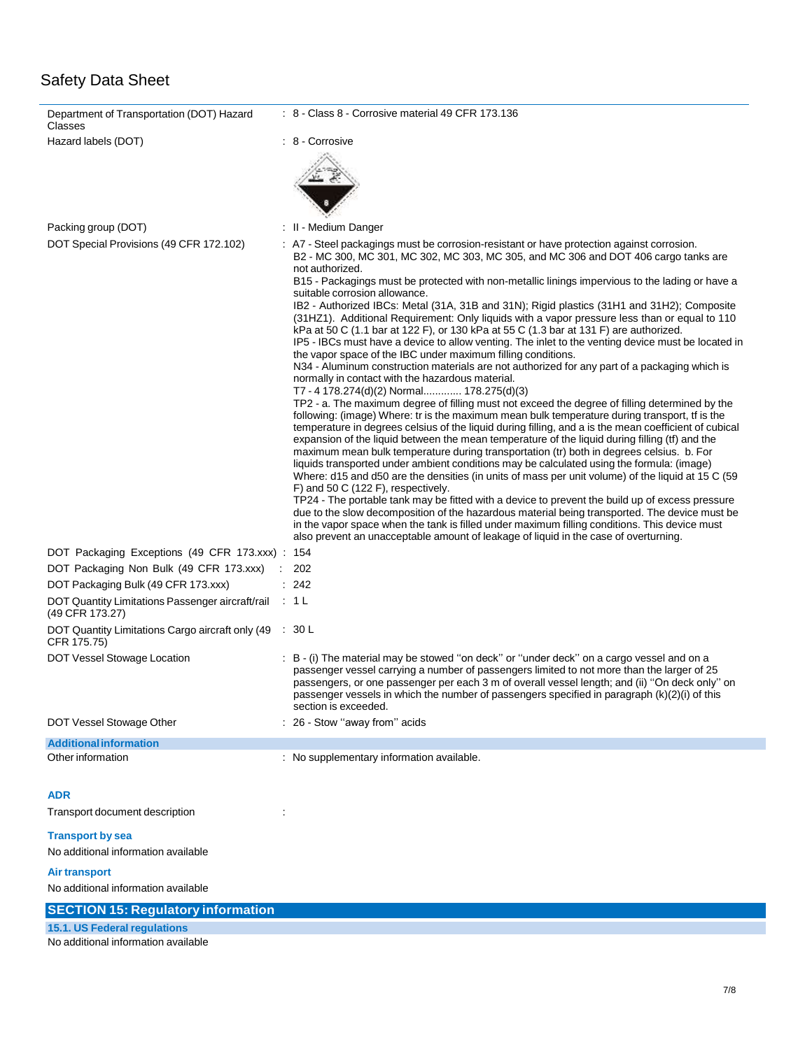| Department of Transportation (DOT) Hazard<br>Classes                      | $\therefore$ 8 - Class 8 - Corrosive material 49 CFR 173.136                                                                                                                                                                                                                                                                                                                                                                                                                                                                                                                                                                                                                                                                                                                                                                                                                                                                                                                                                                                                                                                                                                                                                                                                                                                                                                                                                                                                                                                                                                                                                                                                                                                                                                                                                                                                                                                                                                                                                                                                                                                                                           |
|---------------------------------------------------------------------------|--------------------------------------------------------------------------------------------------------------------------------------------------------------------------------------------------------------------------------------------------------------------------------------------------------------------------------------------------------------------------------------------------------------------------------------------------------------------------------------------------------------------------------------------------------------------------------------------------------------------------------------------------------------------------------------------------------------------------------------------------------------------------------------------------------------------------------------------------------------------------------------------------------------------------------------------------------------------------------------------------------------------------------------------------------------------------------------------------------------------------------------------------------------------------------------------------------------------------------------------------------------------------------------------------------------------------------------------------------------------------------------------------------------------------------------------------------------------------------------------------------------------------------------------------------------------------------------------------------------------------------------------------------------------------------------------------------------------------------------------------------------------------------------------------------------------------------------------------------------------------------------------------------------------------------------------------------------------------------------------------------------------------------------------------------------------------------------------------------------------------------------------------------|
| Hazard labels (DOT)                                                       | : 8 - Corrosive                                                                                                                                                                                                                                                                                                                                                                                                                                                                                                                                                                                                                                                                                                                                                                                                                                                                                                                                                                                                                                                                                                                                                                                                                                                                                                                                                                                                                                                                                                                                                                                                                                                                                                                                                                                                                                                                                                                                                                                                                                                                                                                                        |
|                                                                           |                                                                                                                                                                                                                                                                                                                                                                                                                                                                                                                                                                                                                                                                                                                                                                                                                                                                                                                                                                                                                                                                                                                                                                                                                                                                                                                                                                                                                                                                                                                                                                                                                                                                                                                                                                                                                                                                                                                                                                                                                                                                                                                                                        |
| Packing group (DOT)                                                       | : II - Medium Danger                                                                                                                                                                                                                                                                                                                                                                                                                                                                                                                                                                                                                                                                                                                                                                                                                                                                                                                                                                                                                                                                                                                                                                                                                                                                                                                                                                                                                                                                                                                                                                                                                                                                                                                                                                                                                                                                                                                                                                                                                                                                                                                                   |
| DOT Special Provisions (49 CFR 172.102)                                   | : A7 - Steel packagings must be corrosion-resistant or have protection against corrosion.<br>B2 - MC 300, MC 301, MC 302, MC 303, MC 305, and MC 306 and DOT 406 cargo tanks are<br>not authorized.<br>B15 - Packagings must be protected with non-metallic linings impervious to the lading or have a<br>suitable corrosion allowance.<br>IB2 - Authorized IBCs: Metal (31A, 31B and 31N); Rigid plastics (31H1 and 31H2); Composite<br>(31HZ1). Additional Requirement: Only liquids with a vapor pressure less than or equal to 110<br>kPa at 50 C (1.1 bar at 122 F), or 130 kPa at 55 C (1.3 bar at 131 F) are authorized.<br>IP5 - IBCs must have a device to allow venting. The inlet to the venting device must be located in<br>the vapor space of the IBC under maximum filling conditions.<br>N34 - Aluminum construction materials are not authorized for any part of a packaging which is<br>normally in contact with the hazardous material.<br>T7 - 4 178.274(d)(2) Normal 178.275(d)(3)<br>TP2 - a. The maximum degree of filling must not exceed the degree of filling determined by the<br>following: (image) Where: tr is the maximum mean bulk temperature during transport, if is the<br>temperature in degrees celsius of the liquid during filling, and a is the mean coefficient of cubical<br>expansion of the liquid between the mean temperature of the liquid during filling (tf) and the<br>maximum mean bulk temperature during transportation (tr) both in degrees celsius. b. For<br>liquids transported under ambient conditions may be calculated using the formula: (image)<br>Where: d15 and d50 are the densities (in units of mass per unit volume) of the liquid at 15 C (59<br>F) and 50 C (122 F), respectively.<br>TP24 - The portable tank may be fitted with a device to prevent the build up of excess pressure<br>due to the slow decomposition of the hazardous material being transported. The device must be<br>in the vapor space when the tank is filled under maximum filling conditions. This device must<br>also prevent an unacceptable amount of leakage of liquid in the case of overturning. |
| DOT Packaging Exceptions (49 CFR 173.xxx) : 154                           |                                                                                                                                                                                                                                                                                                                                                                                                                                                                                                                                                                                                                                                                                                                                                                                                                                                                                                                                                                                                                                                                                                                                                                                                                                                                                                                                                                                                                                                                                                                                                                                                                                                                                                                                                                                                                                                                                                                                                                                                                                                                                                                                                        |
| DOT Packaging Non Bulk (49 CFR 173.xxx)                                   | : 202                                                                                                                                                                                                                                                                                                                                                                                                                                                                                                                                                                                                                                                                                                                                                                                                                                                                                                                                                                                                                                                                                                                                                                                                                                                                                                                                                                                                                                                                                                                                                                                                                                                                                                                                                                                                                                                                                                                                                                                                                                                                                                                                                  |
| DOT Packaging Bulk (49 CFR 173.xxx)                                       | : 242                                                                                                                                                                                                                                                                                                                                                                                                                                                                                                                                                                                                                                                                                                                                                                                                                                                                                                                                                                                                                                                                                                                                                                                                                                                                                                                                                                                                                                                                                                                                                                                                                                                                                                                                                                                                                                                                                                                                                                                                                                                                                                                                                  |
| DOT Quantity Limitations Passenger aircraft/rail : 1 L<br>(49 CFR 173.27) |                                                                                                                                                                                                                                                                                                                                                                                                                                                                                                                                                                                                                                                                                                                                                                                                                                                                                                                                                                                                                                                                                                                                                                                                                                                                                                                                                                                                                                                                                                                                                                                                                                                                                                                                                                                                                                                                                                                                                                                                                                                                                                                                                        |
| DOT Quantity Limitations Cargo aircraft only (49<br>CFR 175.75)           | : 30 L                                                                                                                                                                                                                                                                                                                                                                                                                                                                                                                                                                                                                                                                                                                                                                                                                                                                                                                                                                                                                                                                                                                                                                                                                                                                                                                                                                                                                                                                                                                                                                                                                                                                                                                                                                                                                                                                                                                                                                                                                                                                                                                                                 |
| DOT Vessel Stowage Location                                               | : B - (i) The material may be stowed "on deck" or "under deck" on a cargo vessel and on a<br>passenger vessel carrying a number of passengers limited to not more than the larger of 25<br>passengers, or one passenger per each 3 m of overall vessel length; and (ii) "On deck only" on<br>passenger vessels in which the number of passengers specified in paragraph (k)(2)(i) of this<br>section is exceeded.                                                                                                                                                                                                                                                                                                                                                                                                                                                                                                                                                                                                                                                                                                                                                                                                                                                                                                                                                                                                                                                                                                                                                                                                                                                                                                                                                                                                                                                                                                                                                                                                                                                                                                                                      |
| DOT Vessel Stowage Other                                                  | 26 - Stow "away from" acids                                                                                                                                                                                                                                                                                                                                                                                                                                                                                                                                                                                                                                                                                                                                                                                                                                                                                                                                                                                                                                                                                                                                                                                                                                                                                                                                                                                                                                                                                                                                                                                                                                                                                                                                                                                                                                                                                                                                                                                                                                                                                                                            |
| <b>Additional information</b>                                             |                                                                                                                                                                                                                                                                                                                                                                                                                                                                                                                                                                                                                                                                                                                                                                                                                                                                                                                                                                                                                                                                                                                                                                                                                                                                                                                                                                                                                                                                                                                                                                                                                                                                                                                                                                                                                                                                                                                                                                                                                                                                                                                                                        |
| Other information                                                         | : No supplementary information available.                                                                                                                                                                                                                                                                                                                                                                                                                                                                                                                                                                                                                                                                                                                                                                                                                                                                                                                                                                                                                                                                                                                                                                                                                                                                                                                                                                                                                                                                                                                                                                                                                                                                                                                                                                                                                                                                                                                                                                                                                                                                                                              |
| <b>ADR</b>                                                                |                                                                                                                                                                                                                                                                                                                                                                                                                                                                                                                                                                                                                                                                                                                                                                                                                                                                                                                                                                                                                                                                                                                                                                                                                                                                                                                                                                                                                                                                                                                                                                                                                                                                                                                                                                                                                                                                                                                                                                                                                                                                                                                                                        |
| Transport document description                                            |                                                                                                                                                                                                                                                                                                                                                                                                                                                                                                                                                                                                                                                                                                                                                                                                                                                                                                                                                                                                                                                                                                                                                                                                                                                                                                                                                                                                                                                                                                                                                                                                                                                                                                                                                                                                                                                                                                                                                                                                                                                                                                                                                        |

### **Transport by sea**

No additional information available

### **Air transport**

No additional information available

## **SECTION 15: Regulatory information**

**15.1. US Federal regulations**

No additional information available